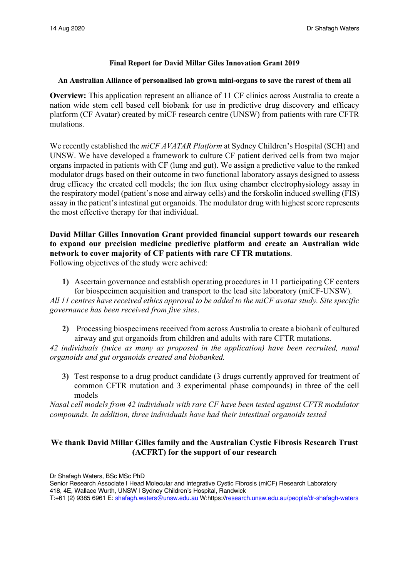### **Final Report for David Millar Giles Innovation Grant 2019**

#### **An Australian Alliance of personalised lab grown mini-organs to save the rarest of them all**

**Overview:** This application represent an alliance of 11 CF clinics across Australia to create a nation wide stem cell based cell biobank for use in predictive drug discovery and efficacy platform (CF Avatar) created by miCF research centre (UNSW) from patients with rare CFTR mutations.

We recently established the *miCF AVATAR Platform* at Sydney Children's Hospital (SCH) and UNSW. We have developed a framework to culture CF patient derived cells from two major organs impacted in patients with CF (lung and gut). We assign a predictive value to the ranked modulator drugs based on their outcome in two functional laboratory assays designed to assess drug efficacy the created cell models; the ion flux using chamber electrophysiology assay in the respiratory model (patient's nose and airway cells) and the forskolin induced swelling (FIS) assay in the patient's intestinal gut organoids. The modulator drug with highest score represents the most effective therapy for that individual.

# **David Millar Gilles Innovation Grant provided financial support towards our research to expand our precision medicine predictive platform and create an Australian wide network to cover majority of CF patients with rare CFTR mutations**.

Following objectives of the study were achived:

**1)** Ascertain governance and establish operating procedures in 11 participating CF centers for biospecimen acquisition and transport to the lead site laboratory (miCF-UNSW).

*All 11 centres have received ethics approval to be added to the miCF avatar study. Site specific governance has been received from five sites*.

**2)** Processing biospecimens received from across Australia to create a biobank of cultured airway and gut organoids from children and adults with rare CFTR mutations.

*42 individuals (twice as many as proposed in the application) have been recruited, nasal organoids and gut organoids created and biobanked.*

**3)** Test response to a drug product candidate (3 drugs currently approved for treatment of common CFTR mutation and 3 experimental phase compounds) in three of the cell models

*Nasal cell models from 42 individuals with rare CF have been tested against CFTR modulator compounds. In addition, three individuals have had their intestinal organoids tested* 

### **We thank David Millar Gilles family and the Australian Cystic Fibrosis Research Trust (ACFRT) for the support of our research**

Dr Shafagh Waters, BSc MSc PhD

Senior Research Associate | Head Molecular and Integrative Cystic Fibrosis (miCF) Research Laboratory 418, 4E, Wallace Wurth, UNSW | Sydney Children's Hospital, Randwick T:+61 (2) 9385 6961 E: shafagh.waters@unsw.edu.au W:https://research.unsw.edu.au/people/dr-shafagh-waters